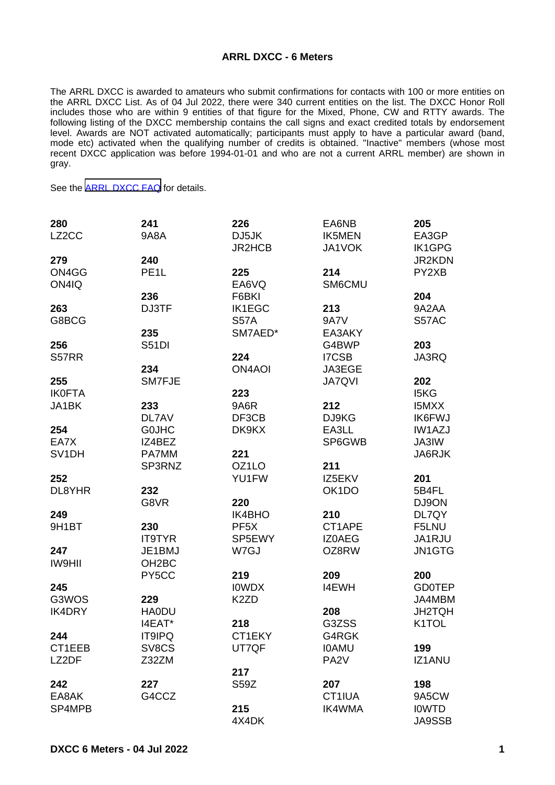## **ARRL DXCC - 6 Meters**

The ARRL DXCC is awarded to amateurs who submit confirmations for contacts with 100 or more entities on the ARRL DXCC List. As of 04 Jul 2022, there were 340 current entities on the list. The DXCC Honor Roll includes those who are within 9 entities of that figure for the Mixed, Phone, CW and RTTY awards. The following listing of the DXCC membership contains the call signs and exact credited totals by endorsement level. Awards are NOT activated automatically; participants must apply to have a particular award (band, mode etc) activated when the qualifying number of credits is obtained. "Inactive" members (whose most recent DXCC application was before 1994-01-01 and who are not a current ARRL member) are shown in gray.

See the [ARRL DXCC FAQ](http://www.arrl.org/dxcc-faq/) for details.

| 280<br>LZ <sub>2</sub> CC | 241<br>9A8A        | 226<br>DJ5JK      | EA6NB<br><b>IK5MEN</b> | 205<br>EA3GP  |
|---------------------------|--------------------|-------------------|------------------------|---------------|
|                           |                    | <b>JR2HCB</b>     | JA1VOK                 | <b>IK1GPG</b> |
| 279                       | 240                |                   |                        | <b>JR2KDN</b> |
| ON4GG                     | PE <sub>1</sub> L  | 225               | 214                    | PY2XB         |
| ON4IQ                     |                    | EA6VQ             | SM6CMU                 |               |
|                           | 236                | F6BKI             |                        | 204           |
| 263                       | DJ3TF              | <b>IK1EGC</b>     | 213                    | 9A2AA         |
| G8BCG                     |                    | <b>S57A</b>       | <b>9A7V</b>            | S57AC         |
|                           | 235                | SM7AED*           | EA3AKY                 |               |
| 256                       | <b>S51DI</b>       |                   | G4BWP                  | 203           |
| S57RR                     |                    | 224               | <b>I7CSB</b>           | JA3RQ         |
|                           | 234                | <b>ON4AOI</b>     | JA3EGE                 |               |
| 255                       | SM7FJE             |                   | <b>JA7QVI</b>          | 202           |
| <b>IK0FTA</b>             |                    | 223               |                        | I5KG          |
| JA1BK                     | 233                | 9A6R              | 212                    | <b>I5MXX</b>  |
|                           | DL7AV              | DF3CB             | DJ9KG                  | <b>IK6FWJ</b> |
| 254                       | <b>GOJHC</b>       | DK9KX             | EA3LL                  | IW1AZJ        |
| EA7X                      | IZ4BEZ             |                   | SP6GWB                 | JA3IW         |
| SV <sub>1</sub> DH        | PA7MM              | 221               |                        | JA6RJK        |
|                           |                    |                   |                        |               |
|                           | SP3RNZ             | OZ1LO             | 211                    |               |
| 252                       |                    | YU1FW             | IZ5EKV                 | 201           |
| DL8YHR                    | 232                |                   | OK1DO                  | 5B4FL         |
|                           | G8VR               | 220               |                        | DJ9ON         |
| 249                       |                    | IK4BHO            | 210                    | DL7QY         |
| 9H1BT                     | 230                | PF <sub>5</sub> X | CT1APE                 | F5LNU         |
|                           | <b>IT9TYR</b>      | SP5EWY            | <b>IZ0AEG</b>          | JA1RJU        |
| 247                       | JE1BMJ             | W7GJ              | OZ8RW                  | <b>JN1GTG</b> |
| IW9HII                    | OH <sub>2</sub> BC |                   |                        |               |
|                           | PY5CC              | 219               | 209                    | 200           |
| 245                       |                    | <b>IOWDX</b>      | <b>I4EWH</b>           | <b>GD0TEP</b> |
| G3WOS                     | 229                | K <sub>2</sub> ZD |                        | JA4MBM        |
| <b>IK4DRY</b>             | <b>HA0DU</b>       |                   | 208                    | <b>JH2TQH</b> |
|                           | I4EAT*             | 218               | G3ZSS                  | K1TOL         |
| 244                       | <b>IT9IPQ</b>      | CT1EKY            | G4RGK                  |               |
| CT1EEB                    | SV8CS              | UT7QF             | <b>IOAMU</b>           | 199           |
| LZ2DF                     | Z32ZM              |                   | PA <sub>2</sub> V      | IZ1ANU        |
|                           |                    | 217               |                        |               |
|                           |                    |                   |                        |               |
| 242                       | 227                | S59Z              | 207                    | 198           |
| EA8AK                     | G4CCZ              |                   | CT1IUA                 | 9A5CW         |
| SP4MPB                    |                    | 215               | IK4WMA                 | <b>IOWTD</b>  |
|                           |                    | 4X4DK             |                        | <b>JA9SSB</b> |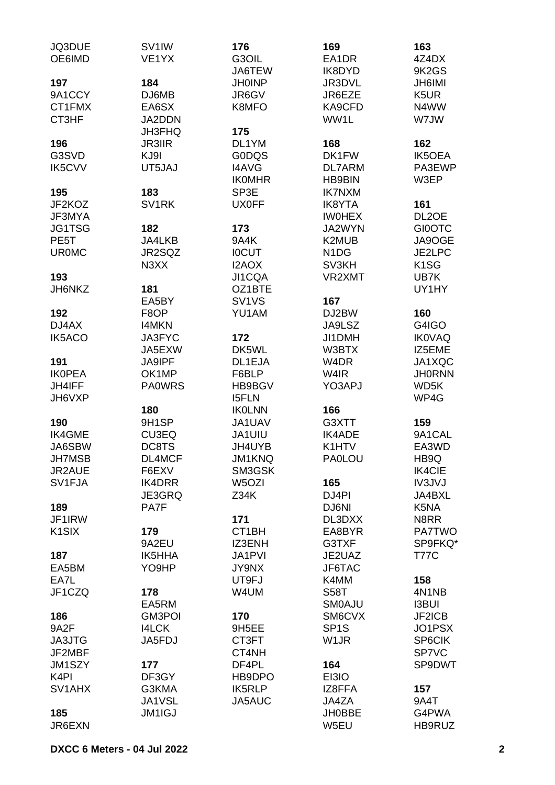| JQ3DUE<br>OE6IMD   | SV <sub>1</sub> IW<br>VE1YX | 176<br>G3OIL<br>JA6TEW         | 169<br>EA1DR<br>IK8DYD        | 163<br>4Z4DX<br>9K2GS         |
|--------------------|-----------------------------|--------------------------------|-------------------------------|-------------------------------|
| 197                | 184                         | <b>JH0INP</b>                  | JR3DVL                        | <b>JH6IMI</b>                 |
| 9A1CCY             | DJ6MB                       | JR6GV                          | JR6EZE                        | K5UR                          |
| CT1FMX             | EA6SX                       | K8MFO                          | KA9CFD                        | N4WW                          |
| CT3HF              | JA2DDN                      |                                | WW1L                          | W7JW                          |
|                    | <b>JH3FHQ</b>               | 175                            |                               |                               |
| 196                | <b>JR3IIR</b>               | DL1YM                          | 168                           | 162                           |
|                    |                             |                                |                               |                               |
| G3SVD              | KJ9I                        | <b>GODQS</b>                   | DK1FW                         | <b>IK5OEA</b>                 |
| <b>IK5CVV</b>      | UT5JAJ                      | <b>I4AVG</b>                   | <b>DL7ARM</b>                 | PA3EWP                        |
|                    |                             | <b>IKOMHR</b>                  | <b>HB9BIN</b>                 | W3EP                          |
| 195                | 183                         | SP3E                           | <b>IK7NXM</b>                 |                               |
| JF2KOZ             | SV1RK                       | <b>UX0FF</b>                   | <b>IK8YTA</b>                 | 161                           |
| JF3MYA             |                             |                                | <b>IWOHEX</b>                 | DL2OE                         |
| JG1TSG             | 182                         | 173                            | JA2WYN                        | <b>GI0OTC</b>                 |
| PE <sub>5</sub> T  | <b>JA4LKB</b>               | 9A4K                           | K2MUB                         | JA9OGE                        |
| <b>UR0MC</b>       | JR2SQZ                      | <b>IOCUT</b>                   | N <sub>1</sub> D <sub>G</sub> | JE2LPC                        |
|                    | N3XX                        | I2AOX                          | SV3KH                         | K <sub>1</sub> SG             |
| 193                |                             | JI1CQA                         | VR2XMT                        | UB7K                          |
| JH6NKZ             | 181                         | OZ1BTE                         |                               | UY1HY                         |
|                    | EA5BY                       | SV <sub>1</sub> V <sub>S</sub> | 167                           |                               |
| 192                | F8OP                        | YU1AM                          | DJ2BW                         | 160                           |
| DJ4AX              | <b>I4MKN</b>                |                                | JA9LSZ                        | G4IGO                         |
| <b>IK5ACO</b>      | JA3FYC                      | 172                            | JI1DMH                        | <b>IK0VAQ</b>                 |
|                    | JA5EXW                      | DK5WL                          | W3BTX                         | IZ5EME                        |
| 191                | <b>JA9IPF</b>               | DL1EJA                         | W <sub>4</sub> DR             | JA1XQC                        |
| <b>IKOPEA</b>      | OK1MP                       | F6BLP                          | W4IR                          | <b>JH0RNN</b>                 |
| JH4IFF             | <b>PA0WRS</b>               | HB9BGV                         | YO3APJ                        | WD5K                          |
| JH6VXP             |                             | <b>I5FLN</b>                   |                               | WP4G                          |
|                    | 180                         | <b>IKOLNN</b>                  | 166                           |                               |
| 190                | 9H1SP                       | JA1UAV                         | G3XTT                         | 159                           |
| <b>IK4GME</b>      | CU3EQ                       | JA1UIU                         | <b>IK4ADE</b>                 | 9A1CAL                        |
| JA6SBW             | DC8TS                       | JH4UYB                         | K1HTV                         | EA3WD                         |
| <b>JH7MSB</b>      |                             | <b>JM1KNQ</b>                  | <b>PA0LOU</b>                 | HB9Q                          |
| JR2AUE             | DL4MCF<br>F6EXV             | SM3GSK                         |                               | <b>IK4CIE</b>                 |
|                    |                             |                                | 165                           |                               |
| SV1FJA             | IK4DRR                      | W <sub>5</sub> OZI             |                               | <b>IV3JVJ</b>                 |
|                    | JE3GRQ                      | Z34K                           | DJ4PI                         | JA4BXL                        |
| 189                | PA7F                        |                                | DJ6NI                         | K <sub>5</sub> N <sub>A</sub> |
| JF1IRW             |                             | 171                            | DL3DXX                        | N8RR                          |
| K <sub>1</sub> SIX | 179                         | CT1BH                          | EA8BYR                        | <b>PA7TWO</b>                 |
|                    | 9A2EU                       | <b>IZ3ENH</b>                  | G3TXF                         | SP9FKQ*                       |
| 187                | IK5HHA                      | <b>JA1PVI</b>                  | JE2UAZ                        | <b>T77C</b>                   |
| EA5BM              | YO9HP                       | JY9NX                          | JF6TAC                        |                               |
| EA7L               |                             | UT9FJ                          | K4MM                          | 158                           |
| JF1CZQ             | 178                         | W4UM                           | <b>S58T</b>                   | 4N1NB                         |
|                    | EA5RM                       |                                | <b>SMOAJU</b>                 | <b>I3BUI</b>                  |
| 186                | GM3POI                      | 170                            | SM6CVX                        | JF2ICB                        |
| 9A2F               | <b>I4LCK</b>                | 9H5EE                          | SP <sub>1</sub> S             | JO1PSX                        |
| JA3JTG             | JA5FDJ                      | CT3FT                          | W <sub>1</sub> JR             | SP6CIK                        |
| JF2MBF             |                             | CT4NH                          |                               | SP7VC                         |
| JM1SZY             | 177                         | DF4PL                          | 164                           | SP9DWT                        |
| K4PI               | DF3GY                       | HB9DPO                         | EI3IO                         |                               |
| SV1AHX             | G3KMA                       | IK5RLP                         | IZ8FFA                        | 157                           |
|                    | JA1VSL                      | JA5AUC                         | JA4ZA                         | 9A4T                          |
| 185                | <b>JM1IGJ</b>               |                                | <b>JH0BBE</b>                 | G4PWA                         |
| JR6EXN             |                             |                                | W5EU                          | HB9RUZ                        |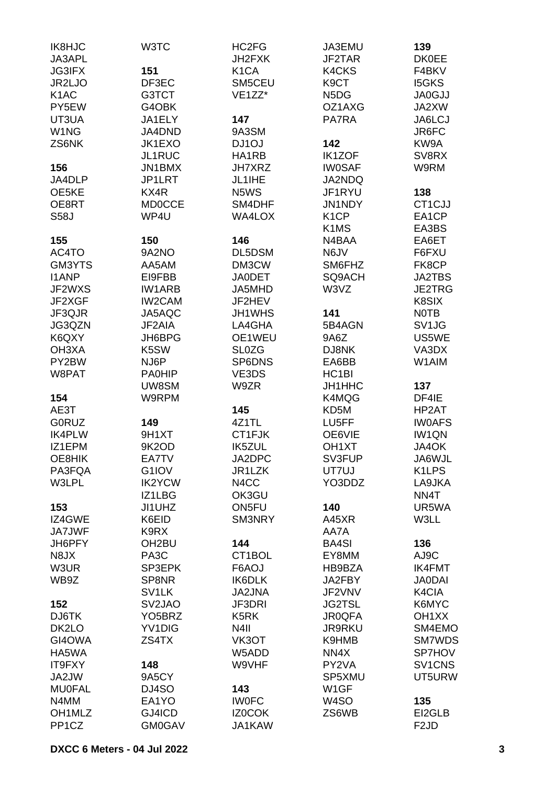| IK8HJC<br>JA3APL   | W3TC                | HC <sub>2</sub> F <sub>G</sub><br>JH2FXK | JA3EMU<br>JF2TAR              | 139<br><b>DK0EE</b> |
|--------------------|---------------------|------------------------------------------|-------------------------------|---------------------|
| <b>JG3IFX</b>      | 151                 | K <sub>1</sub> CA                        | K4CKS                         | F4BKV               |
| JR2LJO             | DF3EC               | SM5CEU                                   | K <sub>9</sub> CT             | <b>I5GKS</b>        |
| K <sub>1</sub> AC  | G3TCT               | VE1ZZ*                                   | N <sub>5</sub> D <sub>G</sub> | <b>JA0GJJ</b>       |
| PY5EW              | G4OBK               |                                          | OZ1AXG                        | JA2XW               |
| UT3UA              | JA1ELY              | 147                                      | PA7RA                         | JA6LCJ              |
| W1NG               |                     |                                          |                               |                     |
| ZS6NK              | JA4DND              | 9A3SM                                    |                               | JR6FC               |
|                    | JK1EXO              | DJ1OJ                                    | 142                           | KW9A                |
|                    | JL1RUC              | HA1RB                                    | <b>IK1ZOF</b>                 | SV8RX               |
| 156                | JN1BMX              | <b>JH7XRZ</b>                            | <b>IW0SAF</b>                 | W9RM                |
| JA4DLP             | JP1LRT              | JL1IHE                                   | JA2NDQ                        |                     |
| OE5KE              | KX4R                | N5WS                                     | JF1RYU                        | 138                 |
| OE8RT              | <b>MD0CCE</b>       | SM4DHF                                   | JN1NDY                        | CT1CJJ              |
| <b>S58J</b>        | WP4U                | WA4LOX                                   | K <sub>1</sub> CP             | EA1CP               |
|                    |                     |                                          | K <sub>1</sub> M <sub>S</sub> | EA3BS               |
| 155                | 150                 | 146                                      | N4BAA                         | EA6ET               |
| AC4TO              | 9A2NO               | DL5DSM                                   | N6JV                          | F6FXU               |
| GM3YTS             | AA5AM               | DM3CW                                    | SM6FHZ                        | FK8CP               |
| <b>I1ANP</b>       | EI9FBB              | <b>JA0DET</b>                            | SQ9ACH                        | <b>JA2TBS</b>       |
| JF2WXS             | <b>IW1ARB</b>       | JA5MHD                                   | W3VZ                          | JE2TRG              |
| JF2XGF             | <b>IW2CAM</b>       | JF2HEV                                   |                               | K8SIX               |
| JF3QJR             | JA5AQC              | JH1WHS                                   | 141                           | <b>NOTB</b>         |
| JG3QZN             | JF2AIA              | LA4GHA                                   | 5B4AGN                        | SV <sub>1JG</sub>   |
| K6QXY              | JH6BPG              | OE1WEU                                   | 9A6Z                          | US5WE               |
| OH3XA              | K5SW                | <b>SL0ZG</b>                             | DJ8NK                         | VA3DX               |
| PY2BW              | NJ6P                | SP6DNS                                   | EA6BB                         | W1AIM               |
| W8PAT              | <b>PA0HIP</b>       | VE3DS                                    | HC <sub>1</sub> BI            |                     |
|                    | UW8SM               | W9ZR                                     | JH1HHC                        | 137                 |
| 154                | W9RPM               |                                          | K4MQG                         | DF4IE               |
| AE3T               |                     | 145                                      | KD5M                          | HP2AT               |
| <b>G0RUZ</b>       | 149                 | 4Z1TL                                    | LU5FF                         | <b>IWOAFS</b>       |
| <b>IK4PLW</b>      | 9H1XT               | CT1FJK                                   | OE6VIE                        | <b>IW1QN</b>        |
| IZ1EPM             | 9K2OD               | <b>IK5ZUL</b>                            | OH <sub>1</sub> XT            | JA4OK               |
| OE8HIK             | EA7TV               | JA2DPC                                   | SV3FUP                        | JA6WJL              |
| PA3FQA             | G1IOV               | JR1LZK                                   | UT7UJ                         | K <sub>1</sub> LPS  |
| W3LPL              | <b>IK2YCW</b>       | N4CC                                     | YO3DDZ                        | LA9JKA              |
|                    | IZ1LBG              | OK3GU                                    |                               | NN4T                |
| 153                | JI1UHZ              | ON5FU                                    | 140                           | UR5WA               |
| IZ4GWE             | K6EID               | SM3NRY                                   | A45XR                         | W3LL                |
| <b>JA7JWF</b>      | K9RX                |                                          | AA7A                          |                     |
| JH6PFY             | OH <sub>2</sub> BU  | 144                                      | <b>BA4SI</b>                  | 136                 |
| N8JX               | PA <sub>3</sub> C   | CT1BOL                                   | EY8MM                         | AJ9C                |
| W3UR               | SP3EPK              | F6AOJ                                    | HB9BZA                        | <b>IK4FMT</b>       |
| WB9Z               | SP8NR               | IK6DLK                                   | JA2FBY                        | <b>JA0DAI</b>       |
|                    | SV <sub>1</sub> LK  | <b>JA2JNA</b>                            | JF2VNV                        | K4CIA               |
| 152                | SV <sub>2</sub> JAO | JF3DRI                                   | <b>JG2TSL</b>                 | K6MYC               |
| DJ6TK              | YO <sub>5</sub> BRZ | K <sub>5</sub> RK                        | <b>JR0QFA</b>                 | OH <sub>1</sub> XX  |
| DK2LO              | YV1DIG              | N <sub>4</sub> II                        | <b>JR9RKU</b>                 | SM4EMO              |
| GI4OWA             | ZS4TX               | VK3OT                                    | K9HMB                         | SM7WDS              |
| HA5WA              |                     | W5ADD                                    | NN4X                          | SP7HOV              |
| IT9FXY             | 148                 | W9VHF                                    | PY2VA                         | SV <sub>1</sub> CNS |
| JA2JW              | 9A5CY               |                                          | SP5XMU                        | UT5URW              |
| <b>MU0FAL</b>      | DJ4SO               | 143                                      | W <sub>1</sub> GF             |                     |
| N4MM               | EA1YO               | <b>IWOFC</b>                             | W <sub>4</sub> SO             | 135                 |
| OH1MLZ             | GJ4ICD              | IZ0COK                                   | ZS6WB                         | EI2GLB              |
| PP <sub>1</sub> CZ | <b>GM0GAV</b>       | JA1KAW                                   |                               | F <sub>2</sub> JD   |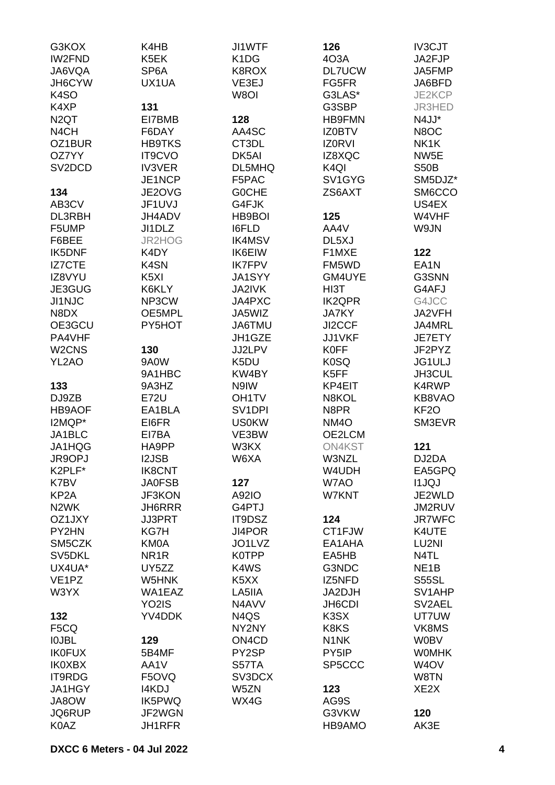| G3KOX<br>IW2FND                | K4HB<br>K5EK       | JI1WTF<br>K <sub>1</sub> D <sub>G</sub> | 126<br>4O3A       | <b>IV3CJT</b><br>JA2FJP |
|--------------------------------|--------------------|-----------------------------------------|-------------------|-------------------------|
| JA6VQA                         | SP <sub>6</sub> A  | K8ROX                                   | <b>DL7UCW</b>     | JA5FMP                  |
| JH6CYW                         | UX1UA              | VE3EJ                                   | FG5FR             | JA6BFD                  |
| K <sub>4</sub> SO              |                    | W8OI                                    | G3LAS*            | JE2KCP                  |
| K4XP                           | 131                |                                         | G3SBP             | JR3HED                  |
| N <sub>2</sub> QT              | EI7BMB             | 128                                     | <b>HB9FMN</b>     | N4JJ*                   |
| N <sub>4</sub> CH              | F6DAY              | AA4SC                                   | <b>IZ0BTV</b>     | N8OC                    |
| OZ1BUR                         | <b>HB9TKS</b>      | CT3DL                                   | <b>IZORVI</b>     | NK1K                    |
| OZ7YY                          | IT9CVO             | DK5AI                                   | IZ8XQC            | NW <sub>5</sub> E       |
| SV <sub>2</sub> DCD            | <b>IV3VER</b>      | DL5MHQ                                  | K <sub>4Q</sub>   | <b>S50B</b>             |
|                                | JE1NCP             | F5PAC                                   | SV1GYG            | SM5DJZ*                 |
| 134                            | JE2OVG             | <b>GOCHE</b>                            | ZS6AXT            | SM6CCO                  |
| AB3CV                          | JF1UVJ             | G4FJK                                   |                   | US4EX                   |
| DL3RBH                         | JH4ADV             | HB9BOI                                  | 125               | W4VHF                   |
| F5UMP                          | JI1DLZ             | <b>I6FLD</b>                            | AA4V              | W9JN                    |
| F6BEE                          | JR2HOG             | <b>IK4MSV</b>                           | DL5XJ             |                         |
| IK5DNF                         | K4DY               | <b>IK6EIW</b>                           | F1MXE             | 122                     |
| <b>IZ7CTE</b>                  | K4SN               | <b>IK7FPV</b>                           | FM5WD             | EA <sub>1</sub> N       |
| IZ8VYU                         | K <sub>5</sub> XI  | <b>JA1SYY</b>                           | GM4UYE            | G3SNN                   |
| JE3GUG                         | K6KLY              | JA2IVK                                  | HI3T              | G4AFJ                   |
| JI1NJC                         | NP3CW              | JA4PXC                                  | <b>IK2QPR</b>     | G4JCC                   |
| N8DX                           | OE5MPL             | JA5WIZ                                  | <b>JA7KY</b>      | JA2VFH                  |
| OE3GCU                         | PY5HOT             | JA6TMU                                  | JI2CCF            | JA4MRL                  |
| PA4VHF                         |                    | JH1GZE                                  | <b>JJ1VKF</b>     | JE7ETY                  |
| W <sub>2</sub> CN <sub>S</sub> | 130                | JJ2LPV                                  | <b>K0FF</b>       | JF2PYZ                  |
| YL2AO                          | 9A0W               | K5DU                                    | K0SQ              | <b>JG1ULJ</b>           |
|                                | 9A1HBC             | KW4BY                                   | K5FF              | JH3CUL                  |
| 133                            | 9A3HZ              | N9IW                                    | KP4EIT            | K4RWP                   |
| DJ9ZB                          | <b>E72U</b>        | OH <sub>1</sub> TV                      | N8KOL             | KB8VAO                  |
| <b>HB9AOF</b>                  | EA1BLA             | SV <sub>1</sub> DPI                     | N8PR              | KF <sub>2</sub> O       |
| I2MQP*                         | EI6FR              | <b>US0KW</b>                            | NM <sub>4</sub> O | SM3EVR                  |
| JA1BLC                         | EI7BA              | VE3BW                                   | OE2LCM            |                         |
| JA1HQG                         | HA9PP              | W3KX                                    | ON4KST            | 121                     |
| JR9OPJ                         | <b>I2JSB</b>       | W6XA                                    | W3NZL             | DJ2DA                   |
| K2PLF*                         | <b>IK8CNT</b>      |                                         | W4UDH             | EA5GPQ                  |
| K7BV                           | <b>JA0FSB</b>      | 127                                     | W7AO              | <b>I1JQJ</b>            |
| KP <sub>2</sub> A              | <b>JF3KON</b>      | A92IO                                   | W7KNT             | JE2WLD                  |
| N <sub>2</sub> WK              | <b>JH6RRR</b>      | G4PTJ                                   |                   | JM2RUV                  |
| OZ1JXY                         | <b>JJ3PRT</b>      | IT9DSZ                                  | 124               | <b>JR7WFC</b>           |
| PY2HN                          | KG7H               | JI4POR                                  | CT1FJW            | K4UTE                   |
| SM5CZK                         | <b>KM0A</b>        | JO1LVZ                                  | EA1AHA            | LU2NI                   |
| SV5DKL                         | NR <sub>1</sub> R  | <b>K0TPP</b>                            | EA5HB             | N4TL                    |
| UX4UA*                         | UY5ZZ              | K4WS                                    | G3NDC             | NE <sub>1</sub> B       |
| VE <sub>1</sub> PZ             | W5HNK              | K <sub>5</sub> XX                       | IZ5NFD            | <b>S55SL</b>            |
| W3YX                           | WA1EAZ             | LA5IIA                                  | JA2DJH            | SV <sub>1</sub> AHP     |
|                                | YO <sub>2</sub> IS | N4AVV                                   | JH6CDI            | SV2AEL                  |
| 132                            | YV4DDK             | N4QS                                    | K3SX              | UT7UW                   |
| F <sub>5</sub> CQ              |                    | NY2NY                                   | K8KS              | VK8MS                   |
| <b>IOJBL</b>                   | 129                | ON <sub>4</sub> C <sub>D</sub>          | N <sub>1</sub> NK | <b>W0BV</b>             |
| <b>IK0FUX</b>                  | 5B4MF              | PY2SP                                   | PY5IP             | <b>WOMHK</b>            |
| <b>IK0XBX</b>                  | AA1V               | S57TA                                   | SP5CCC            | W <sub>4</sub> OV       |
| <b>IT9RDG</b>                  | F5OVQ              | SV3DCX                                  |                   | W8TN                    |
| JA1HGY                         | <b>I4KDJ</b>       | W5ZN                                    | 123               | XE2X                    |
| JA8OW                          | <b>IK5PWQ</b>      | WX4G                                    | AG9S              |                         |
| JQ6RUP                         | JF2WGN             |                                         | G3VKW             | 120                     |
| K0AZ                           | <b>JH1RFR</b>      |                                         | HB9AMO            | AK3E                    |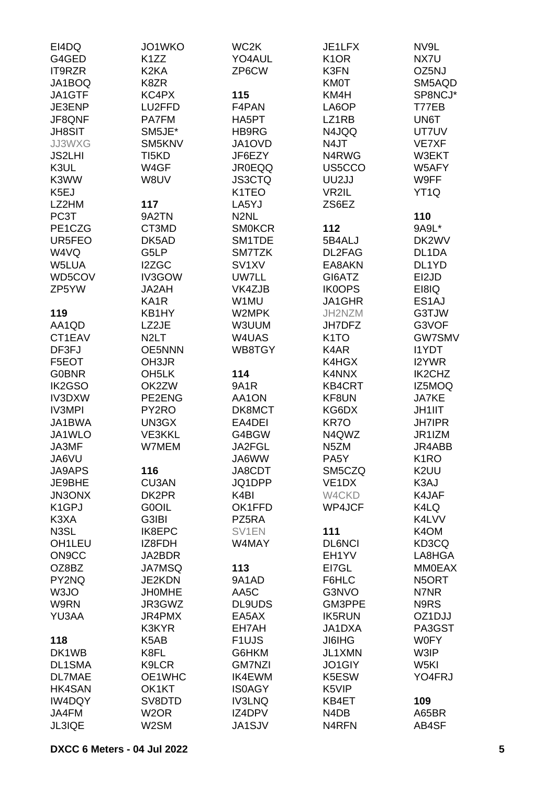| EI4DQ<br>G4GED<br><b>IT9RZR</b> | JO1WKO<br>K <sub>1</sub> ZZ<br>K <sub>2</sub> KA | WC <sub>2</sub> K<br>YO4AUL<br>ZP6CW | JE1LFX<br>K <sub>1</sub> OR<br>K3FN | NV9L<br>NX7U<br>OZ5NJ |
|---------------------------------|--------------------------------------------------|--------------------------------------|-------------------------------------|-----------------------|
| JA1BOQ                          | K8ZR                                             |                                      | <b>KM0T</b>                         | SM5AQD                |
| JA1GTF                          | KC4PX                                            | 115                                  | KM4H                                | SP8NCJ*               |
| JE3ENP                          | LU2FFD                                           | F4PAN                                | LA6OP                               | T77EB                 |
| JF8QNF                          | PA7FM                                            | HA5PT                                | LZ1RB                               | UN6T                  |
| <b>JH8SIT</b>                   | SM5JE*                                           | HB9RG                                | N4JQQ                               | UT7UV                 |
| JJ3WXG                          | SM5KNV                                           | JA1OVD                               | N4JT                                | VE7XF                 |
| <b>JS2LHI</b>                   | TI5KD                                            | JF6EZY                               | N4RWG                               | W3EKT                 |
| K3UL                            | W4GF                                             |                                      | US5CCO                              | W5AFY                 |
| K3WW                            |                                                  | <b>JR0EQQ</b>                        |                                     | W9FF                  |
|                                 | W8UV                                             | <b>JS3CTQ</b>                        | UU2JJ<br>VR2IL                      |                       |
| K5EJ<br>LZ2HM                   |                                                  | K1TEO                                | ZS6EZ                               | YT <sub>1Q</sub>      |
|                                 | 117                                              | LA5YJ                                |                                     |                       |
| PC3T                            | 9A2TN                                            | N <sub>2N</sub> L                    |                                     | 110                   |
| PE1CZG                          | CT3MD                                            | <b>SMOKCR</b>                        | 112                                 | 9A9L*                 |
| UR5FEO                          | DK5AD                                            | SM1TDE                               | 5B4ALJ                              | DK2WV                 |
| W4VQ                            | G5LP                                             | SM7TZK                               | DL2FAG                              | DL <sub>1</sub> DA    |
| W5LUA                           | I2ZGC                                            | SV <sub>1</sub> XV                   | EA8AKN                              | DL1YD                 |
| WD5COV                          | IV3GOW                                           | UW7LL                                | GI6ATZ                              | EI2JD                 |
| ZP5YW                           | JA2AH                                            | VK4ZJB                               | <b>IK0OPS</b>                       | EI8IQ                 |
|                                 | KA1R                                             | W1MU                                 | JA1GHR                              | ES <sub>1</sub> AJ    |
| 119                             | KB1HY                                            | W2MPK                                | JH2NZM                              | G3TJW                 |
| AA1QD                           | LZ2JE                                            | W3UUM                                | JH7DFZ                              | G3VOF                 |
| CT1EAV                          | N <sub>2</sub> LT                                | W4UAS                                | K <sub>1</sub> TO                   | <b>GW7SMV</b>         |
| DF3FJ                           | OE5NNN                                           | WB8TGY                               | K4AR                                | <b>I1YDT</b>          |
| F5EOT                           | OH3JR                                            |                                      | K4HGX                               | I2YWR                 |
| <b>G0BNR</b>                    | OH <sub>5</sub> LK                               | 114                                  | K4NNX                               | IK2CHZ                |
| IK2GSO                          | OK2ZW                                            | <b>9A1R</b>                          | <b>KB4CRT</b>                       | IZ5MOQ                |
| IV3DXW                          | PE2ENG                                           | AA1ON                                | KF8UN                               | JA7KE                 |
| <b>IV3MPI</b>                   | PY2RO                                            | DK8MCT                               | KG6DX                               | <b>JH1IIT</b>         |
| JA1BWA                          | UN3GX                                            | EA4DEI                               | KR7O                                | <b>JH7IPR</b>         |
| JA1WLO                          | <b>VE3KKL</b>                                    | G4BGW                                | N4QWZ                               | JR1IZM                |
| JA3MF                           | W7MEM                                            | JA2FGL                               | N <sub>5</sub> ZM                   | JR4ABB                |
| JA6VU                           |                                                  | JA6WW                                | PA5Y                                | K <sub>1</sub> RO     |
| <b>JA9APS</b>                   | 116                                              | JA8CDT                               | SM5CZQ                              | K <sub>2</sub> UU     |
| JE9BHE                          | CU3AN                                            | JQ1DPP                               | VE <sub>1</sub> DX                  | K3AJ                  |
| <b>JN3ONX</b>                   | DK2PR                                            | K <sub>4</sub> BI                    | W4CKD                               | K4JAF                 |
| K <sub>1</sub> GPJ              | G0OIL                                            | OK1FFD                               | WP4JCF                              | K4LQ                  |
| K3XA                            | G3IBI                                            | PZ5RA                                |                                     | K4LVV                 |
| N3SL                            | <b>IK8EPC</b>                                    | SV1EN                                | 111                                 | K4OM                  |
| OH <sub>1</sub> LEU             | IZ8FDH                                           | W4MAY                                | <b>DL6NCI</b>                       | KD3CQ                 |
| <b>ON9CC</b>                    | JA2BDR                                           |                                      | EH1YV                               | LA8HGA                |
| OZ8BZ                           | <b>JA7MSQ</b>                                    | 113                                  | EI7GL                               | <b>MM0EAX</b>         |
| PY2NQ                           | JE2KDN                                           | 9A1AD                                | F6HLC                               | N5ORT                 |
| W3JO                            | <b>JHOMHE</b>                                    | AA5C                                 | G3NVO                               | N7NR                  |
| W9RN                            | JR3GWZ                                           | <b>DL9UDS</b>                        | GM3PPE                              | N9RS                  |
| YU3AA                           | JR4PMX                                           | EA5AX                                | <b>IK5RUN</b>                       | OZ1DJJ                |
|                                 | K3KYR                                            | EH7AH                                | JA1DXA                              | PA3GST                |
| 118                             | K5AB                                             | F <sub>1</sub> UJS                   | <b>JI6IHG</b>                       | <b>W0FY</b>           |
| DK1WB                           | K8FL                                             | G6HKM                                | JL1XMN                              | W3IP                  |
| DL1SMA                          | K9LCR                                            | <b>GM7NZI</b>                        | JO1GIY                              | W <sub>5KI</sub>      |
| <b>DL7MAE</b>                   | OE1WHC                                           | <b>IK4EWM</b>                        | K5ESW                               | YO4FRJ                |
| <b>HK4SAN</b>                   | OK1KT                                            | <b>IS0AGY</b>                        | K5VIP                               |                       |
| <b>IW4DQY</b>                   | SV8DTD                                           | <b>IV3LNQ</b>                        | KB4ET                               | 109                   |
| JA4FM                           | W <sub>2</sub> OR                                | IZ4DPV                               | N4DB                                | A65BR                 |
| JL3IQE                          | W2SM                                             | JA1SJV                               | N4RFN                               | AB4SF                 |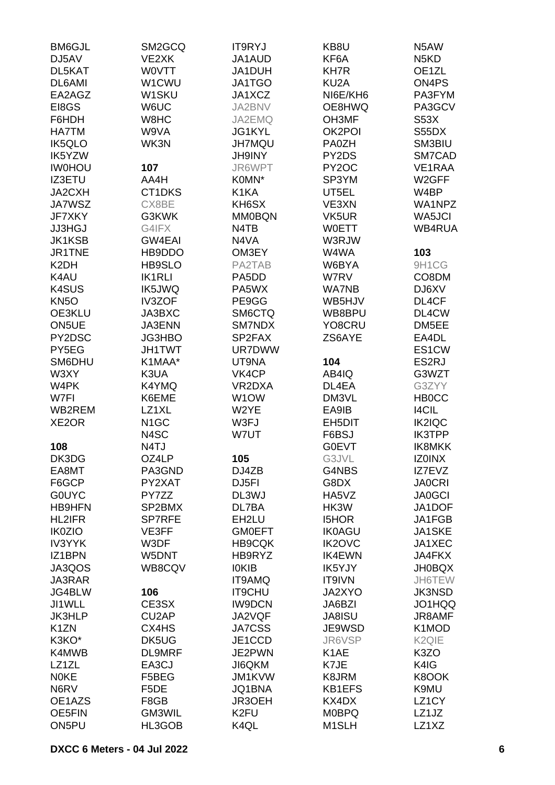| <b>BM6GJL</b>     | SM2GCQ            | <b>IT9RYJ</b>     | KB8U               | N <sub>5</sub> AW  |
|-------------------|-------------------|-------------------|--------------------|--------------------|
| DJ5AV             | VE2XK             | JA1AUD            | KF6A               | N <sub>5</sub> KD  |
| DL5KAT            | <b>WOVTT</b>      | JA1DUH            | <b>KH7R</b>        | OE1ZL              |
| DL6AMI            | W1CWU             | JA1TGO            | KU <sub>2</sub> A  | ON4PS              |
| EA2AGZ            | W1SKU             | JA1XCZ            | NI6E/KH6           | PA3FYM             |
|                   |                   |                   |                    |                    |
| EI8GS             | W6UC              | JA2BNV            | OE8HWQ             | PA3GCV             |
| F6HDH             | W8HC              | JA2EMQ            | OH3MF              | <b>S53X</b>        |
| <b>HA7TM</b>      | W9VA              | JG1KYL            | OK2POI             | S55DX              |
| IK5QLO            | WK3N              | <b>JH7MQU</b>     | <b>PA0ZH</b>       | SM3BIU             |
| <b>IK5YZW</b>     |                   | <b>JH9INY</b>     | PY2DS              | SM7CAD             |
| <b>IWOHOU</b>     | 107               | JR6WPT            | PY <sub>2</sub> OC | VE1RAA             |
| <b>IZ3ETU</b>     | AA4H              | K0MN*             | SP3YM              | W2GFF              |
| JA2CXH            | CT1DKS            | K1KA              | UT5EL              | W4BP               |
| <b>JA7WSZ</b>     | CX8BE             | KH6SX             | VE3XN              | WA1NPZ             |
| <b>JF7XKY</b>     | G3KWK             | <b>MM0BQN</b>     | VK5UR              | WA5JCI             |
| <b>JJ3HGJ</b>     | G4IFX             | N4TB              | <b>WOETT</b>       | <b>WB4RUA</b>      |
| <b>JK1KSB</b>     | GW4EAI            | N4VA              | W3RJW              |                    |
|                   |                   |                   | W4WA               |                    |
| JR1TNE            | HB9DDO            | OM3EY             |                    | 103                |
| K <sub>2</sub> DH | HB9SLO            | PA2TAB            | W6BYA              | 9H1CG              |
| K4AU              | <b>IK1RLI</b>     | PA5DD             | W7RV               | CO8DM              |
| K4SUS             | IK5JWQ            | PA5WX             | <b>WA7NB</b>       | DJ6XV              |
| KN <sub>50</sub>  | <b>IV3ZOF</b>     | PE9GG             | WB5HJV             | DL4CF              |
| OE3KLU            | JA3BXC            | SM6CTQ            | WB8BPU             | DL4CW              |
| ON5UE             | <b>JA3ENN</b>     | SM7NDX            | YO8CRU             | DM5EE              |
| PY2DSC            | JG3HBO            | SP2FAX            | ZS6AYE             | EA4DL              |
| PY5EG             | <b>JH1TWT</b>     | UR7DWW            |                    | ES1CW              |
| SM6DHU            | K1MAA*            | UT9NA             | 104                | ES2RJ              |
| W3XY              | K3UA              | VK4CP             | AB4IQ              | G3WZT              |
| W4PK              | K4YMQ             | VR2DXA            | DL4EA              | G3ZYY              |
| W7FI              | K6EME             | W <sub>1</sub> OW | DM3VL              | <b>HB0CC</b>       |
|                   |                   |                   |                    |                    |
| WB2REM            | LZ1XL             | W2YE              | EA9IB              | <b>I4CIL</b>       |
| XE2OR             | N <sub>1</sub> GC | W3FJ              | EH5DIT             | IK2IQC             |
|                   | N4SC              | W7UT              | F6BSJ              | IK3TPP             |
| 108               | N <sub>4</sub> TJ |                   | <b>G0EVT</b>       | IK8MKK             |
| DK3DG             | OZ4LP             | 105               | G3JVL              | <b>IZ0INX</b>      |
| EA8MT             | PA3GND            | DJ4ZB             | G4NBS              | IZ7EVZ             |
| F6GCP             | PY2XAT            | DJ5FI             | G8DX               | <b>JA0CRI</b>      |
| <b>GOUYC</b>      | PY7ZZ             | DL3WJ             | HA5VZ              | <b>JA0GCI</b>      |
| <b>HB9HFN</b>     | SP2BMX            | DL7BA             | HK3W               | JA1DOF             |
| <b>HL2IFR</b>     | SP7RFE            | EH2LU             | <b>I5HOR</b>       | JA1FGB             |
| <b>IK0ZIO</b>     | VE3FF             | <b>GMOEFT</b>     | <b>IK0AGU</b>      | JA1SKE             |
| <b>IV3YYK</b>     | W3DF              | <b>HB9CQK</b>     | <b>IK2OVC</b>      | JA1XEC             |
| IZ1BPN            | W5DNT             | HB9RYZ            | <b>IK4EWN</b>      | JA4FKX             |
| JA3QOS            | WB8CQV            | <b>IOKIB</b>      | IK5YJY             | <b>JH0BQX</b>      |
| JA3RAR            |                   | <b>IT9AMQ</b>     | <b>IT9IVN</b>      | JH6TEW             |
|                   |                   |                   |                    |                    |
| JG4BLW            | 106               | <b>IT9CHU</b>     | JA2XYO             | <b>JK3NSD</b>      |
| JI1WLL            | CE3SX             | <b>IW9DCN</b>     | JA6BZI             | JO1HQQ             |
| <b>JK3HLP</b>     | CU2AP             | JA2VQF            | <b>JA8ISU</b>      | JR8AMF             |
| K <sub>1</sub> ZN | CX4HS             | <b>JA7CSS</b>     | JE9WSD             | K1MOD              |
| K3KO*             | DK5UG             | JE1CCD            | JR6VSP             | K <sub>2Q</sub> IE |
| K4MWB             | <b>DL9MRF</b>     | JE2PWN            | K <sub>1</sub> AE  | K3ZO               |
| LZ1ZL             | EA3CJ             | JI6QKM            | K7JE               | K4IG               |
| <b>NOKE</b>       | F5BEG             | JM1KVW            | K8JRM              | K8OOK              |
| N6RV              | F <sub>5</sub> DE | JQ1BNA            | KB1EFS             | K9MU               |
| OE1AZS            | F8GB              | JR3OEH            | KX4DX              | LZ1CY              |
| OE5FIN            | GM3WIL            | K2FU              | <b>M0BPQ</b>       | LZ1JZ              |
| ON5PU             | HL3GOB            | K4QL              | M1SLH              | LZ1XZ              |
|                   |                   |                   |                    |                    |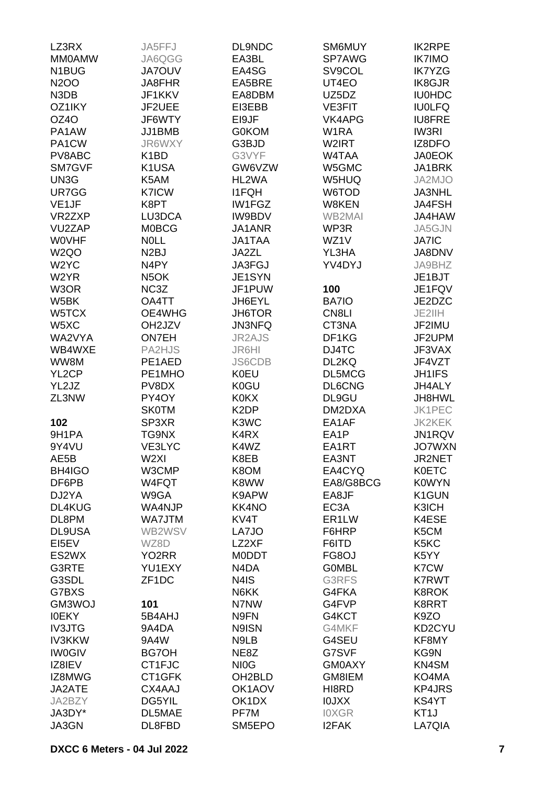| LZ3RX              | JA5FFJ              | <b>DL9NDC</b>       | SM6MUY             | <b>IK2RPE</b>      |
|--------------------|---------------------|---------------------|--------------------|--------------------|
| <b>MM0AMW</b>      | JA6QGG              | EA3BL               | SP7AWG             | <b>IK7IMO</b>      |
| N <sub>1</sub> BUG | <b>JA7OUV</b>       | EA4SG               | SV9COL             | <b>IK7YZG</b>      |
| <b>N2OO</b>        | JA8FHR              | EA5BRE              | UT4EO              | IK8GJR             |
| N3DB               | JF1KKV              | EA8DBM              | UZ5DZ              | <b>IU0HDC</b>      |
| OZ1IKY             | JF2UEE              | EI3EBB              | <b>VE3FIT</b>      | <b>IU0LFQ</b>      |
| OZ4O               | JF6WTY              | EI9JF               | VK4APG             | <b>IU8FRE</b>      |
| PA1AW              | JJ1BMB              | <b>G0KOM</b>        | W1RA               | IW3RI              |
| PA1CW              | JR6WXY              | G3BJD               | W2IRT              | IZ8DFO             |
| PV8ABC             | K <sub>1</sub> BD   | G3VYF               | W4TAA              | <b>JA0EOK</b>      |
| SM7GVF             | K1USA               | GW6VZW              | W5GMC              | JA1BRK             |
| UN3G               | K5AM                | HL2WA               | W5HUQ              | JA2MJO             |
| UR7GG              | <b>K7ICW</b>        | <b>I1FQH</b>        | W6TOD              | <b>JA3NHL</b>      |
| VE <sub>1</sub> JF | K8PT                | IW1FGZ              | W8KEN              | <b>JA4FSH</b>      |
| VR2ZXP             | LU3DCA              | <b>IW9BDV</b>       | <b>WB2MAI</b>      | JA4HAW             |
| VU2ZAP             | <b>MOBCG</b>        | JA1ANR              | WP3R               | JA5GJN             |
| <b>WOVHF</b>       | <b>NOLL</b>         | <b>JA1TAA</b>       | WZ1V               | <b>JA7IC</b>       |
| W <sub>2Q</sub> O  | N <sub>2</sub> BJ   | JA2ZL               | YL3HA              | JA8DNV             |
| W <sub>2</sub> YC  | N4PY                | JA3FGJ              | YV4DYJ             | JA9BHZ             |
| W2YR               | N <sub>5</sub> OK   | JE1SYN              |                    | JE1BJT             |
| W3OR               | NC3Z                | JF1PUW              | 100                | JE1FQV             |
| W5BK               | OA4TT               | JH6EYL              | BA7IO              | JE2DZC             |
| W5TCX              | OE4WHG              | JH6TOR              | CN <sub>8LI</sub>  | JE2IIH             |
| W5XC               | OH <sub>2J</sub> ZV | <b>JN3NFQ</b>       | CT3NA              | JF2IMU             |
| WA2VYA             | <b>ON7EH</b>        | <b>JR2AJS</b>       | DF1KG              | JF2UPM             |
| WB4WXE             | PA2HJS              | JR6HI               | DJ4TC              | JF3VAX             |
| WW8M               | PE1AED              | <b>JS6CDB</b>       | DL2KQ              | JF4VZT             |
| YL2CP              | PE1MHO              | <b>K0EU</b>         | DL5MCG             | <b>JH1IFS</b>      |
| YL2JZ              | PV8DX               | <b>K0GU</b>         | DL6CNG             | JH4ALY             |
| ZL3NW              | PY4OY               | <b>K0KX</b>         | DL9GU              | JH8HWL             |
|                    | <b>SK0TM</b>        | K <sub>2</sub> DP   | DM2DXA             | JK1PEC             |
| 102                | SP3XR               | K3WC                | EA1AF              | <b>JK2KEK</b>      |
| 9H1PA              | TG9NX               | K4RX                | EA <sub>1</sub> P  | JN1RQV             |
| 9Y4VU              | VE3LYC              | K4WZ                | EA1RT              | <b>JO7WXN</b>      |
| AE5B               | W <sub>2XI</sub>    | K8EB                | EA3NT              | JR2NET             |
| BH4IGO             | W3CMP               | K8OM                | EA4CYQ             | <b>K0ETC</b>       |
| DF6PB              | W4FQT               | K8WW                | EA8/G8BCG          | <b>K0WYN</b>       |
| DJ2YA              | W9GA                | K9APW               | EA8JF              | K <sub>1</sub> GUN |
| DL4KUG             | WA4NJP              | <b>KK4NO</b>        | EC3A               | K3ICH              |
| DL8PM              | WA7JTM              | KV <sub>4</sub> T   | ER <sub>1</sub> LW | K4ESE              |
| <b>DL9USA</b>      | WB2WSV              | LA7JO               | F6HRP              | K5CM               |
| EI5EV              | WZ8D                | LZ2XF               | F6ITD              | K5KC               |
| ES2WX              | YO <sub>2</sub> RR  | <b>MODDT</b>        | FG8OJ              | K5YY               |
| G3RTE              | YU1EXY              | N4DA                | <b>GOMBL</b>       | K7CW               |
| G3SDL              | ZF <sub>1</sub> DC  | N4IS                | G3RFS              | <b>K7RWT</b>       |
| G7BXS              |                     | N6KK                | G4FKA              | K8ROK              |
| GM3WOJ             | 101                 | N7NW                | G4FVP              | K8RRT              |
| <b>IOEKY</b>       | 5B4AHJ              | N9FN                | G4KCT              | K9ZO               |
| <b>IV3JTG</b>      | 9A4DA               | N9ISN               | G4MKF              | KD2CYU             |
| <b>IV3KKW</b>      | 9A4W                | N9LB                | G4SEU              | KF8MY              |
| <b>IW0GIV</b>      | <b>BG7OH</b>        | NE8Z                | G7SVF              | KG9N               |
| IZ8IEV             | CT1FJC              | <b>NIOG</b>         | <b>GM0AXY</b>      | KN4SM              |
| IZ8MWG             | CT1GFK              | OH <sub>2</sub> BLD | GM8IEM             | KO4MA              |
| JA2ATE             | CX4AAJ              | OK1AOV              | HI8RD              | <b>KP4JRS</b>      |
| JA2BZY             | DG5YIL              | OK1DX               | <b>IOJXX</b>       | KS4YT              |
| JA3DY*             | DL5MAE              | PF7M                | <b>IOXGR</b>       | KT <sub>1</sub> J  |
| JA3GN              | DL8FBD              | SM5EPO              | <b>I2FAK</b>       | LA7QIA             |